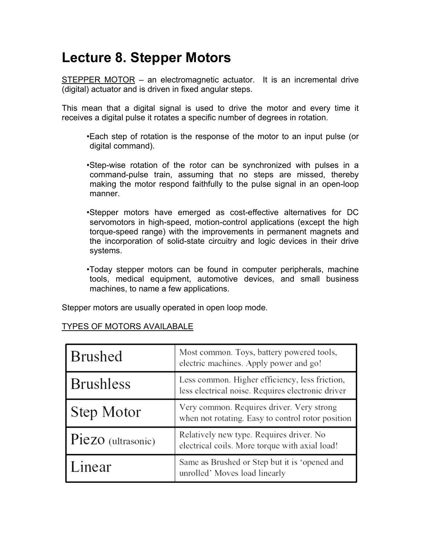# **Lecture 8. Stepper Motors**

STEPPER MOTOR – an electromagnetic actuator. It is an incremental drive (digital) actuator and is driven in fixed angular steps.

This mean that a digital signal is used to drive the motor and every time it receives a digital pulse it rotates a specific number of degrees in rotation.

- •Each step of rotation is the response of the motor to an input pulse (or digital command).
- •Step-wise rotation of the rotor can be synchronized with pulses in a command-pulse train, assuming that no steps are missed, thereby making the motor respond faithfully to the pulse signal in an open-loop manner.
- •Stepper motors have emerged as cost-effective alternatives for DC servomotors in high-speed, motion-control applications (except the high torque-speed range) with the improvements in permanent magnets and the incorporation of solid-state circuitry and logic devices in their drive systems.
- •Today stepper motors can be found in computer peripherals, machine tools, medical equipment, automotive devices, and small business machines, to name a few applications.

Stepper motors are usually operated in open loop mode.

# TYPES OF MOTORS AVAILABALE

| Brushed            | Most common. Toys, battery powered tools,<br>electric machines. Apply power and go!                 |
|--------------------|-----------------------------------------------------------------------------------------------------|
| Brushless          | Less common. Higher efficiency, less friction,<br>less electrical noise. Requires electronic driver |
| Step Motor         | Very common. Requires driver. Very strong<br>when not rotating. Easy to control rotor position      |
| Piezo (ultrasonic) | Relatively new type. Requires driver. No<br>electrical coils. More torque with axial load!          |
| Linear             | Same as Brushed or Step but it is 'opened and<br>unrolled' Moves load linearly                      |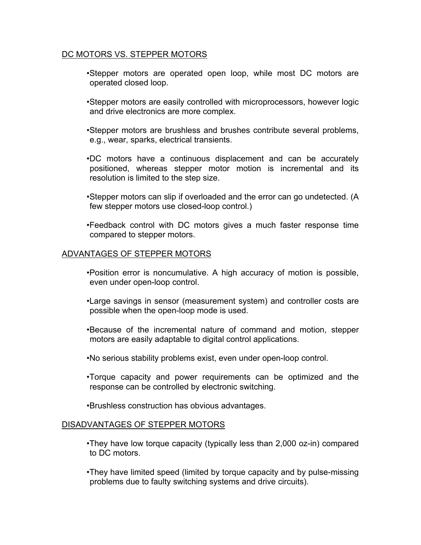### DC MOTORS VS. STEPPER MOTORS

•Stepper motors are operated open loop, while most DC motors are operated closed loop.

- •Stepper motors are easily controlled with microprocessors, however logic and drive electronics are more complex.
- •Stepper motors are brushless and brushes contribute several problems, e.g., wear, sparks, electrical transients.
- •DC motors have a continuous displacement and can be accurately positioned, whereas stepper motor motion is incremental and its resolution is limited to the step size.
- •Stepper motors can slip if overloaded and the error can go undetected. (A few stepper motors use closed-loop control.)
- •Feedback control with DC motors gives a much faster response time compared to stepper motors.

#### ADVANTAGES OF STEPPER MOTORS

- •Position error is noncumulative. A high accuracy of motion is possible, even under open-loop control.
- •Large savings in sensor (measurement system) and controller costs are possible when the open-loop mode is used.
- •Because of the incremental nature of command and motion, stepper motors are easily adaptable to digital control applications.
- •No serious stability problems exist, even under open-loop control.
- •Torque capacity and power requirements can be optimized and the response can be controlled by electronic switching.
- •Brushless construction has obvious advantages.

#### DISADVANTAGES OF STEPPER MOTORS

- •They have low torque capacity (typically less than 2,000 oz-in) compared to DC motors.
- •They have limited speed (limited by torque capacity and by pulse-missing problems due to faulty switching systems and drive circuits).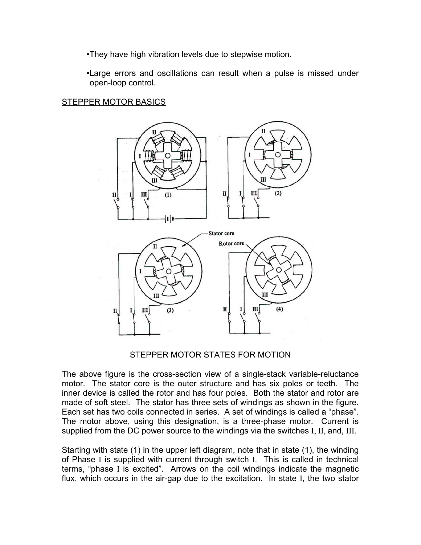•They have high vibration levels due to stepwise motion.

•Large errors and oscillations can result when a pulse is missed under open-loop control.

## **STEPPER MOTOR BASICS**



## STEPPER MOTOR STATES FOR MOTION

The above figure is the cross-section view of a single-stack variable-reluctance motor. The stator core is the outer structure and has six poles or teeth. The inner device is called the rotor and has four poles. Both the stator and rotor are made of soft steel. The stator has three sets of windings as shown in the figure. Each set has two coils connected in series. A set of windings is called a "phase". The motor above, using this designation, is a three-phase motor. Current is supplied from the DC power source to the windings via the switches I, II, and, III.

Starting with state (1) in the upper left diagram, note that in state (1), the winding of Phase I is supplied with current through switch I. This is called in technical terms, "phase I is excited". Arrows on the coil windings indicate the magnetic flux, which occurs in the air-gap due to the excitation. In state I, the two stator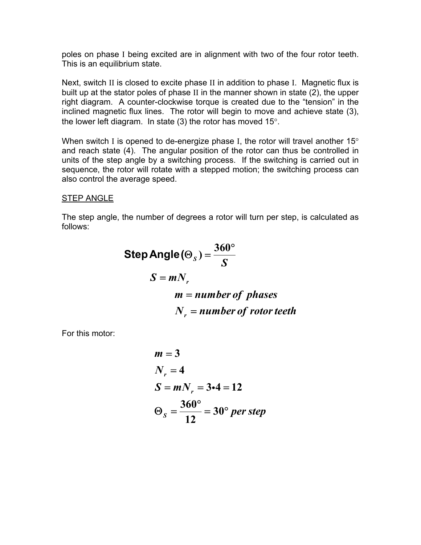poles on phase I being excited are in alignment with two of the four rotor teeth. This is an equilibrium state.

Next, switch II is closed to excite phase II in addition to phase I. Magnetic flux is built up at the stator poles of phase II in the manner shown in state (2), the upper right diagram. A counter-clockwise torque is created due to the "tension" in the inclined magnetic flux lines. The rotor will begin to move and achieve state (3), the lower left diagram. In state (3) the rotor has moved 15°.

When switch I is opened to de-energize phase I, the rotor will travel another  $15^{\circ}$ and reach state (4). The angular position of the rotor can thus be controlled in units of the step angle by a switching process. If the switching is carried out in sequence, the rotor will rotate with a stepped motion; the switching process can also control the average speed.

## STEP ANGLE

The step angle, the number of degrees a rotor will turn per step, is calculated as follows:

Step Angle(
$$
\Theta_s
$$
) =  $\frac{360^{\circ}}{S}$   
\n $S = mN_r$   
\n $m = number of phases$   
\n $N_r = number of rotor teeth$ 

For this motor:

$$
m = 3
$$
  
\n $N_r = 4$   
\n $S = mN_r = 3 \cdot 4 = 12$   
\n $\Theta_s = \frac{360^{\circ}}{12} = 30^{\circ} \text{ per step}$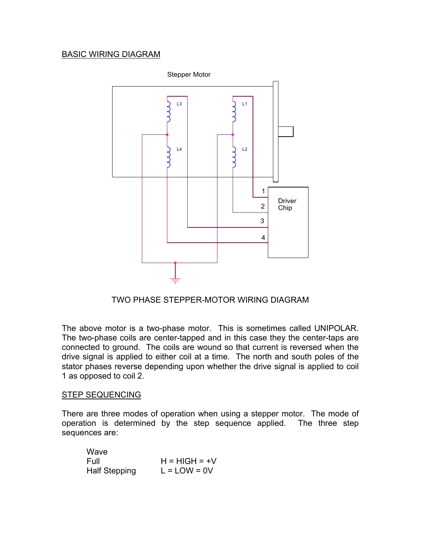# BASIC WIRING DIAGRAM



TWO PHASE STEPPER-MOTOR WIRING DIAGRAM

The above motor is a two-phase motor. This is sometimes called UNIPOLAR. The two-phase coils are center-tapped and in this case they the center-taps are connected to ground. The coils are wound so that current is reversed when the drive signal is applied to either coil at a time. The north and south poles of the stator phases reverse depending upon whether the drive signal is applied to coil 1 as opposed to coil 2.

#### STEP SEQUENCING

There are three modes of operation when using a stepper motor. The mode of operation is determined by the step sequence applied. The three step sequences are:

| Wave                 |                 |
|----------------------|-----------------|
| Full                 | $H = HIGH = +V$ |
| <b>Half Stepping</b> | $L = LOW = 0V$  |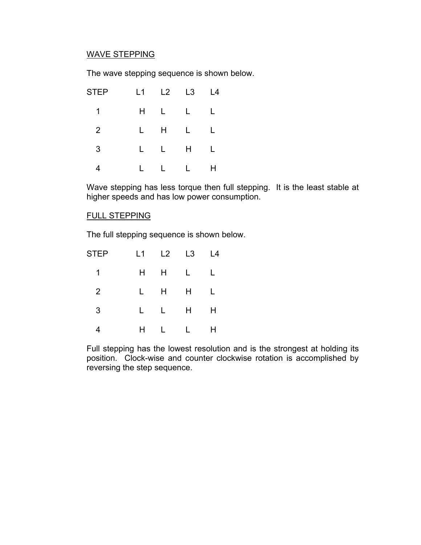# WAVE STEPPING

The wave stepping sequence is shown below.

| <b>STEP</b> |    |             |             | L4 |
|-------------|----|-------------|-------------|----|
| 1           | H. |             | $L = L$     | L  |
| 2           | L  |             | $H \quad L$ | L  |
| 3           | L. |             | $L$ H       |    |
|             | L  | $L \quad L$ |             | н  |

 Wave stepping has less torque then full stepping. It is the least stable at higher speeds and has low power consumption.

#### FULL STEPPING

The full stepping sequence is shown below.

| STEP           | L1 | $L2$ $L3$    |             | L4 |
|----------------|----|--------------|-------------|----|
| 1              | H. |              | $H \quad L$ | L  |
| $\overline{2}$ | L. | H H          |             | L  |
| 3              | L. | $\mathbf{L}$ | H           | Н  |
| 4              | H  | L            | L           | Н  |

 Full stepping has the lowest resolution and is the strongest at holding its position. Clock-wise and counter clockwise rotation is accomplished by reversing the step sequence.